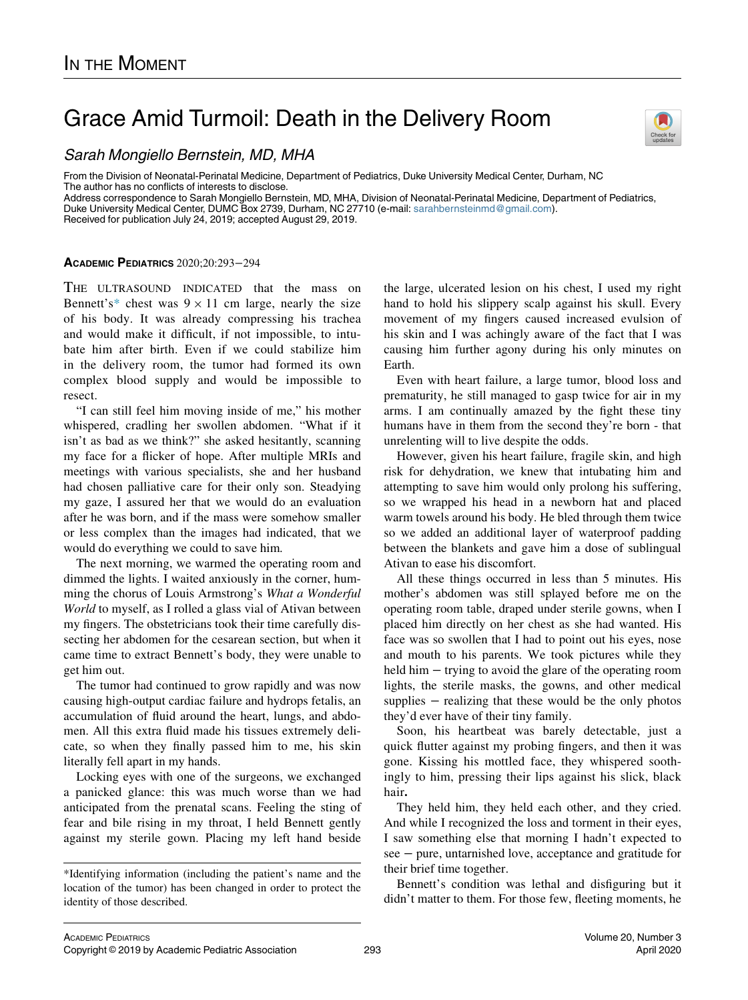## Grace Amid Turmoil: Death in the Delivery Room



From the Division of Neonatal-Perinatal Medicine, Department of Pediatrics, Duke University Medical Center, Durham, NC<br>From the Division of Neonatal-Perinatal Medicine, Department of Pediatrics, Duke University Medical Cen The author has no conflicts of interests to disclose.

Address correspondence to Sarah Mongiello Bernstein, MD, MHA, Division of Neonatal-Perinatal Medicine, Department of Pediatrics, Duke University Medical Center, DUMC Box 2739, Durham, NC 27710 (e-mail: [sarahbernsteinmd@gmail.com\)](mailto:sarahbernsteinmd@gmail.com).

Received for publication July 24, 2019; accepted August 29, 2019.

## ACADEMIC PEDIATRICS 2020;20:293−294

THE ULTRASOUND INDICATED that the mass on Bennett's[\\*](#page-0-0) chest was  $9 \times 11$  cm large, nearly the size of his body. It was already compressing his trachea and would make it difficult, if not impossible, to intubate him after birth. Even if we could stabilize him in the delivery room, the tumor had formed its own complex blood supply and would be impossible to resect.

"I can still feel him moving inside of me," his mother whispered, cradling her swollen abdomen. "What if it isn't as bad as we think?" she asked hesitantly, scanning my face for a flicker of hope. After multiple MRIs and meetings with various specialists, she and her husband had chosen palliative care for their only son. Steadying my gaze, I assured her that we would do an evaluation after he was born, and if the mass were somehow smaller or less complex than the images had indicated, that we would do everything we could to save him.

The next morning, we warmed the operating room and dimmed the lights. I waited anxiously in the corner, humming the chorus of Louis Armstrong's What a Wonderful World to myself, as I rolled a glass vial of Ativan between my fingers. The obstetricians took their time carefully dissecting her abdomen for the cesarean section, but when it came time to extract Bennett's body, they were unable to get him out.

The tumor had continued to grow rapidly and was now causing high-output cardiac failure and hydrops fetalis, an accumulation of fluid around the heart, lungs, and abdomen. All this extra fluid made his tissues extremely delicate, so when they finally passed him to me, his skin literally fell apart in my hands.

Locking eyes with one of the surgeons, we exchanged a panicked glance: this was much worse than we had anticipated from the prenatal scans. Feeling the sting of fear and bile rising in my throat, I held Bennett gently against my sterile gown. Placing my left hand beside

the large, ulcerated lesion on his chest, I used my right hand to hold his slippery scalp against his skull. Every movement of my fingers caused increased evulsion of his skin and I was achingly aware of the fact that I was causing him further agony during his only minutes on Earth.

Even with heart failure, a large tumor, blood loss and prematurity, he still managed to gasp twice for air in my arms. I am continually amazed by the fight these tiny humans have in them from the second they're born - that unrelenting will to live despite the odds.

However, given his heart failure, fragile skin, and high risk for dehydration, we knew that intubating him and attempting to save him would only prolong his suffering, so we wrapped his head in a newborn hat and placed warm towels around his body. He bled through them twice so we added an additional layer of waterproof padding between the blankets and gave him a dose of sublingual Ativan to ease his discomfort.

All these things occurred in less than 5 minutes. His mother's abdomen was still splayed before me on the operating room table, draped under sterile gowns, when I placed him directly on her chest as she had wanted. His face was so swollen that I had to point out his eyes, nose and mouth to his parents. We took pictures while they held him – trying to avoid the glare of the operating room lights, the sterile masks, the gowns, and other medical supplies – realizing that these would be the only photos they'd ever have of their tiny family.

Soon, his heartbeat was barely detectable, just a quick flutter against my probing fingers, and then it was gone. Kissing his mottled face, they whispered soothingly to him, pressing their lips against his slick, black hair.

They held him, they held each other, and they cried. And while I recognized the loss and torment in their eyes, I saw something else that morning I hadn't expected to see − pure, untarnished love, acceptance and gratitude for their brief time together.

Bennett's condition was lethal and disfiguring but it didn't matter to them. For those few, fleeting moments, he



<span id="page-0-0"></span><sup>\*</sup>Identifying information (including the patient's name and the location of the tumor) has been changed in order to protect the identity of those described.